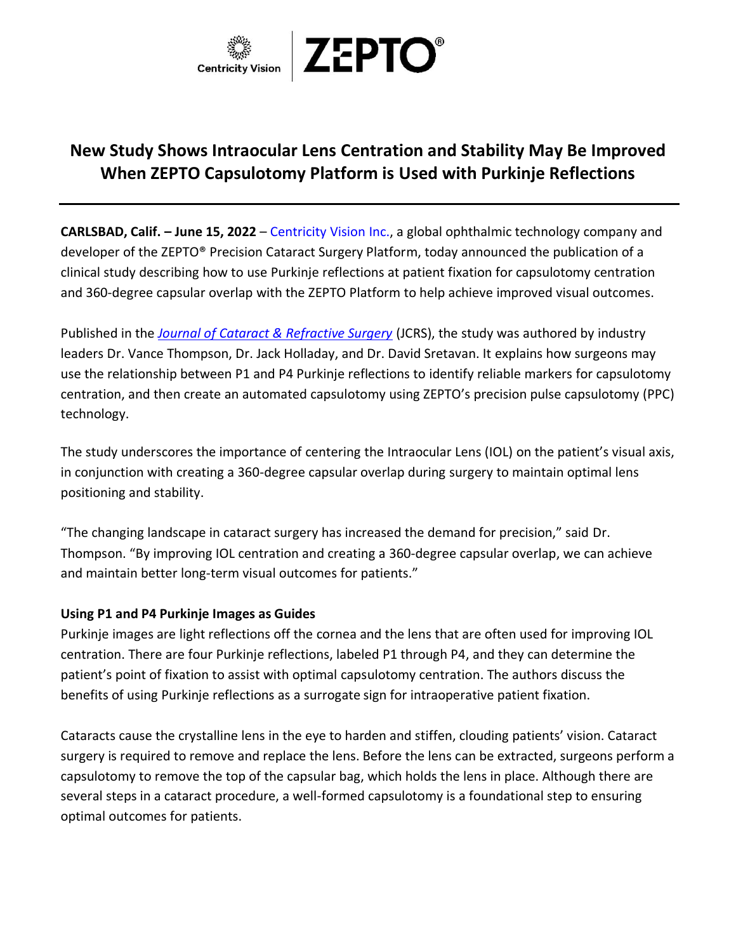

# **New Study Shows Intraocular Lens Centration and Stability May Be Improved When ZEPTO Capsulotomy Platform is Used with Purkinje Reflections**

**CARLSBAD, Calif. – June 15, 2022** – [Centricity Vision Inc.,](https://zeptozone.com/) a global ophthalmic technology company and developer of the ZEPTO® Precision Cataract Surgery Platform, today announced the publication of a clinical study describing how to use Purkinje reflections at patient fixation for capsulotomy centration and 360-degree capsular overlap with the ZEPTO Platform to help achieve improved visual outcomes.

Published in the *[Journal of Cataract & Refractive Surgery](https://journals.lww.com/jcrs/Fulltext/2021/12000/Use_of_P1_P4_Purkinje_reflections_as_a_surrogate.36.aspx)* (JCRS), the study was authored by industry leaders Dr. Vance Thompson, Dr. Jack Holladay, and Dr. David Sretavan. It explains how surgeons may use the relationship between P1 and P4 Purkinje reflections to identify reliable markers for capsulotomy centration, and then create an automated capsulotomy using ZEPTO's precision pulse capsulotomy (PPC) technology.

The study underscores the importance of centering the Intraocular Lens (IOL) on the patient's visual axis, in conjunction with creating a 360-degree capsular overlap during surgery to maintain optimal lens positioning and stability.

"The changing landscape in cataract surgery has increased the demand for precision," said Dr. Thompson. "By improving IOL centration and creating a 360-degree capsular overlap, we can achieve and maintain better long-term visual outcomes for patients."

### **Using P1 and P4 Purkinje Images as Guides**

Purkinje images are light reflections off the cornea and the lens that are often used for improving IOL centration. There are four Purkinje reflections, labeled P1 through P4, and they can determine the patient's point of fixation to assist with optimal capsulotomy centration. The authors discuss the benefits of using Purkinje reflections as a surrogate sign for intraoperative patient fixation.

Cataracts cause the crystalline lens in the eye to harden and stiffen, clouding patients' vision. Cataract surgery is required to remove and replace the lens. Before the lens can be extracted, surgeons perform a capsulotomy to remove the top of the capsular bag, which holds the lens in place. Although there are several steps in a cataract procedure, a well-formed capsulotomy is a foundational step to ensuring optimal outcomes for patients.